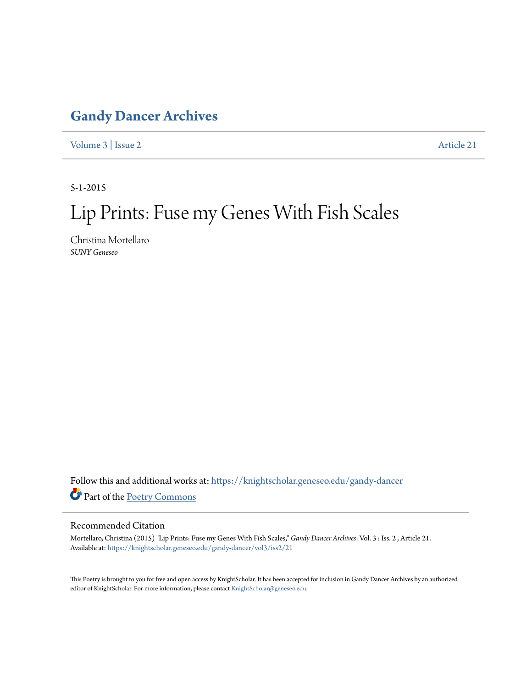## **[Gandy Dancer Archives](https://knightscholar.geneseo.edu/gandy-dancer?utm_source=knightscholar.geneseo.edu%2Fgandy-dancer%2Fvol3%2Fiss2%2F21&utm_medium=PDF&utm_campaign=PDFCoverPages)**

[Volume 3](https://knightscholar.geneseo.edu/gandy-dancer/vol3?utm_source=knightscholar.geneseo.edu%2Fgandy-dancer%2Fvol3%2Fiss2%2F21&utm_medium=PDF&utm_campaign=PDFCoverPages) | [Issue 2](https://knightscholar.geneseo.edu/gandy-dancer/vol3/iss2?utm_source=knightscholar.geneseo.edu%2Fgandy-dancer%2Fvol3%2Fiss2%2F21&utm_medium=PDF&utm_campaign=PDFCoverPages) [Article 21](https://knightscholar.geneseo.edu/gandy-dancer/vol3/iss2/21?utm_source=knightscholar.geneseo.edu%2Fgandy-dancer%2Fvol3%2Fiss2%2F21&utm_medium=PDF&utm_campaign=PDFCoverPages)

5-1-2015

## Lip Prints: Fuse my Genes With Fish Scales

Christina Mortellaro *SUNY Geneseo*

Follow this and additional works at: [https://knightscholar.geneseo.edu/gandy-dancer](https://knightscholar.geneseo.edu/gandy-dancer?utm_source=knightscholar.geneseo.edu%2Fgandy-dancer%2Fvol3%2Fiss2%2F21&utm_medium=PDF&utm_campaign=PDFCoverPages) Part of the [Poetry Commons](http://network.bepress.com/hgg/discipline/1153?utm_source=knightscholar.geneseo.edu%2Fgandy-dancer%2Fvol3%2Fiss2%2F21&utm_medium=PDF&utm_campaign=PDFCoverPages)

## Recommended Citation

Mortellaro, Christina (2015) "Lip Prints: Fuse my Genes With Fish Scales," *Gandy Dancer Archives*: Vol. 3 : Iss. 2 , Article 21. Available at: [https://knightscholar.geneseo.edu/gandy-dancer/vol3/iss2/21](https://knightscholar.geneseo.edu/gandy-dancer/vol3/iss2/21?utm_source=knightscholar.geneseo.edu%2Fgandy-dancer%2Fvol3%2Fiss2%2F21&utm_medium=PDF&utm_campaign=PDFCoverPages)

This Poetry is brought to you for free and open access by KnightScholar. It has been accepted for inclusion in Gandy Dancer Archives by an authorized editor of KnightScholar. For more information, please contact [KnightScholar@geneseo.edu.](mailto:KnightScholar@geneseo.edu)